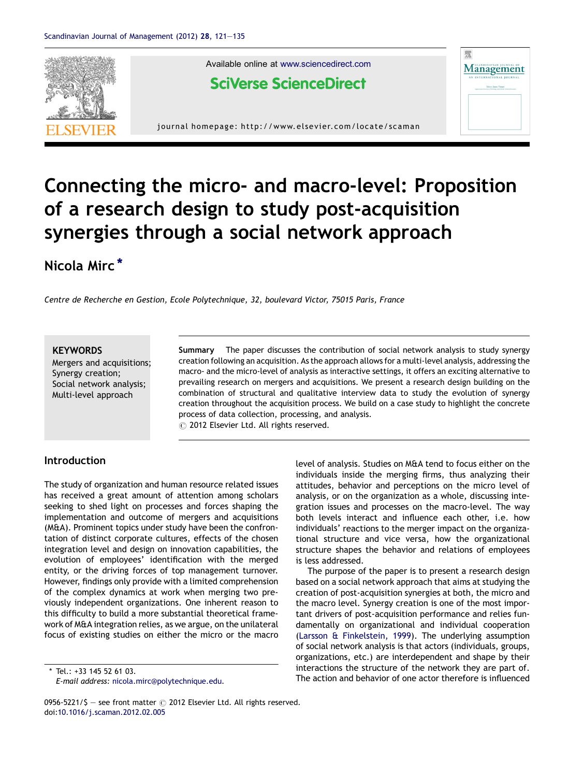

Available online at [www.sciencedirect.com](http://www.sciencedirect.com/science/journal/09565221)

**SciVerse ScienceDirect** 

journal homepage: http://www.elsevier.com/locate/scaman

# Connecting the micro- and macro-level: Proposition of a research design to study post-acquisition synergies through a social network approach

### Nicola Mirc \*

Centre de Recherche en Gestion, Ecole Polytechnique, 32, boulevard Victor, 75015 Paris, France

#### **KEYWORDS**

Mergers and acquisitions; Synergy creation; Social network analysis; Multi-level approach

Summary The paper discusses the contribution of social network analysis to study synergy creation following an acquisition. Asthe approach allowsfor a multi-level analysis, addressing the macro- and the micro-level of analysis as interactive settings, it offers an exciting alternative to prevailing research on mergers and acquisitions. We present a research design building on the combination of structural and qualitative interview data to study the evolution of synergy creation throughout the acquisition process. We build on a case study to highlight the concrete process of data collection, processing, and analysis.

 $\odot$  2012 Elsevier Ltd. All rights reserved.

#### Introduction

The study of organization and human resource related issues has received a great amount of attention among scholars seeking to shed light on processes and forces shaping the implementation and outcome of mergers and acquisitions (M&A). Prominent topics under study have been the confrontation of distinct corporate cultures, effects of the chosen integration level and design on innovation capabilities, the evolution of employees' identification with the merged entity, or the driving forces of top management turnover. However, findings only provide with a limited comprehension of the complex dynamics at work when merging two previously independent organizations. One inherent reason to this difficulty to build a more substantial theoretical framework of M&A integration relies, as we argue, on the unilateral focus of existing studies on either the micro or the macro

Tel.: +33 145 52 61 03.

E-mail address: [nicola.mirc@polytechnique.edu.](mailto:nicola.mirc@polytechnique.edu)

level of analysis. Studies on M&A tend to focus either on the individuals inside the merging firms, thus analyzing their attitudes, behavior and perceptions on the micro level of analysis, or on the organization as a whole, discussing integration issues and processes on the macro-level. The way both levels interact and influence each other, i.e. how individuals' reactions to the merger impact on the organizational structure and vice versa, how the organizational structure shapes the behavior and relations of employees is less addressed.

婴

Management

The purpose of the paper is to present a research design based on a social network approach that aims at studying the creation of post-acquisition synergies at both, the micro and the macro level. Synergy creation is one of the most important drivers of post-acquisition performance and relies fundamentally on organizational and individual cooperation (Larsson & [Finkelstein,](#page--1-0) 1999). The underlying assumption of social network analysis is that actors (individuals, groups, organizations, etc.) are interdependent and shape by their interactions the structure of the network they are part of. The action and behavior of one actor therefore is influenced

<sup>0956-5221/\$ -</sup> see front matter  $\odot$  2012 Elsevier Ltd. All rights reserved. doi[:10.1016/j.scaman.2012.02.005](http://dx.doi.org/10.1016/j.scaman.2012.02.005)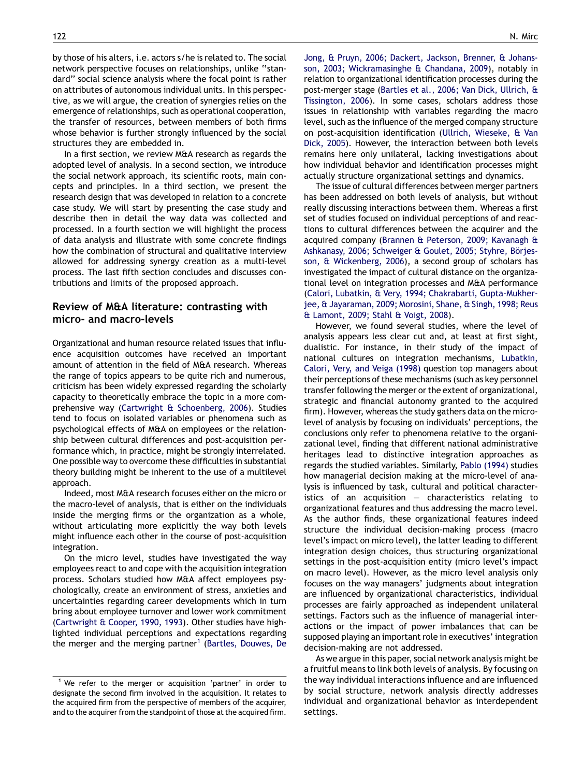by those of his alters, i.e. actors s/he is related to. The social network perspective focuses on relationships, unlike ''standard'' social science analysis where the focal point is rather on attributes of autonomous individual units. In this perspective, as we will argue, the creation of synergies relies on the emergence of relationships, such as operational cooperation, the transfer of resources, between members of both firms whose behavior is further strongly influenced by the social structures they are embedded in.

In a first section, we review M&A research as regards the adopted level of analysis. In a second section, we introduce the social network approach, its scientific roots, main concepts and principles. In a third section, we present the research design that was developed in relation to a concrete case study. We will start by presenting the case study and describe then in detail the way data was collected and processed. In a fourth section we will highlight the process of data analysis and illustrate with some concrete findings how the combination of structural and qualitative interview allowed for addressing synergy creation as a multi-level process. The last fifth section concludes and discusses contributions and limits of the proposed approach.

#### Review of M&A literature: contrasting with micro- and macro-levels

Organizational and human resource related issues that influence acquisition outcomes have received an important amount of attention in the field of M&A research. Whereas the range of topics appears to be quite rich and numerous, criticism has been widely expressed regarding the scholarly capacity to theoretically embrace the topic in a more comprehensive way (Cartwright & [Schoenberg,](#page--1-0) 2006). Studies tend to focus on isolated variables or phenomena such as psychological effects of M&A on employees or the relationship between cultural differences and post-acquisition performance which, in practice, might be strongly interrelated. One possible way to overcome these difficulties in substantial theory building might be inherent to the use of a multilevel approach.

Indeed, most M&A research focuses either on the micro or the macro-level of analysis, that is either on the individuals inside the merging firms or the organization as a whole, without articulating more explicitly the way both levels might influence each other in the course of post-acquisition integration.

On the micro level, studies have investigated the way employees react to and cope with the acquisition integration process. Scholars studied how M&A affect employees psychologically, create an environment of stress, anxieties and uncertainties regarding career developments which in turn bring about employee turnover and lower work commitment [\(Cartwright](#page--1-0) & Cooper, 1990, 1993). Other studies have highlighted individual perceptions and expectations regarding the merger and the merging partner<sup>1</sup> (Bartles, [Douwes,](#page--1-0) De Jong, & Pruyn, 2006; Dackert, [Jackson,](#page--1-0) Brenner, & Johansson, 2003; [Wickramasinghe](#page--1-0) & Chandana, 2009), notably in relation to organizational identification processes during the post-merger stage (Bartles et al., 2006; Van Dick, [Ullrich,](#page--1-0) & [Tissington,](#page--1-0) 2006). In some cases, scholars address those issues in relationship with variables regarding the macro level, such as the influence of the merged company structure on post-acquisition identification (Ullrich, [Wieseke,](#page--1-0) & Van [Dick,](#page--1-0) 2005). However, the interaction between both levels remains here only unilateral, lacking investigations about how individual behavior and identification processes might actually structure organizational settings and dynamics.

The issue of cultural differences between merger partners has been addressed on both levels of analysis, but without really discussing interactions between them. Whereas a first set of studies focused on individual perceptions of and reactions to cultural differences between the acquirer and the acquired company (Brannen & [Peterson,](#page--1-0) 2009; Kavanagh & [Ashkanasy,](#page--1-0) 2006; Schweiger & Goulet, 2005; Styhre, Börjesson, & [Wickenberg,](#page--1-0) 2006), a second group of scholars has investigated the impact of cultural distance on the organizational level on integration processes and M&A performance (Calori, Lubatkin, & Very, 1994; Chakrabarti, [Gupta-Mukher](#page--1-0)jee, & [Jayaraman,](#page--1-0) 2009; Morosini, Shane, & Singh, 1998; Reus & [Lamont,](#page--1-0) 2009; Stahl & Voigt, 2008).

However, we found several studies, where the level of analysis appears less clear cut and, at least at first sight, dualistic. For instance, in their study of the impact of national cultures on integration mechanisms, [Lubatkin,](#page--1-0) [Calori,](#page--1-0) Very, and Veiga (1998) question top managers about their perceptions of these mechanisms (such as key personnel transfer following the merger or the extent of organizational, strategic and financial autonomy granted to the acquired firm). However, whereas the study gathers data on the microlevel of analysis by focusing on individuals' perceptions, the conclusions only refer to phenomena relative to the organizational level, finding that different national administrative heritages lead to distinctive integration approaches as regards the studied variables. Similarly, Pablo [\(1994\)](#page--1-0) studies how managerial decision making at the micro-level of analysis is influenced by task, cultural and political characteristics of an acquisition — characteristics relating to organizational features and thus addressing the macro level. As the author finds, these organizational features indeed structure the individual decision-making process (macro level's impact on micro level), the latter leading to different integration design choices, thus structuring organizational settings in the post-acquisition entity (micro level's impact on macro level). However, as the micro level analysis only focuses on the way managers' judgments about integration are influenced by organizational characteristics, individual processes are fairly approached as independent unilateral settings. Factors such as the influence of managerial interactions or the impact of power imbalances that can be supposed playing an important role in executives' integration decision-making are not addressed.

As we argue in this paper, social network analysis might be a fruitful meansto link both levels of analysis. By focusing on the way individual interactions influence and are influenced by social structure, network analysis directly addresses individual and organizational behavior as interdependent settings.

 $1$  We refer to the merger or acquisition 'partner' in order to designate the second firm involved in the acquisition. It relates to the acquired firm from the perspective of members of the acquirer, and to the acquirer from the standpoint of those at the acquired firm.